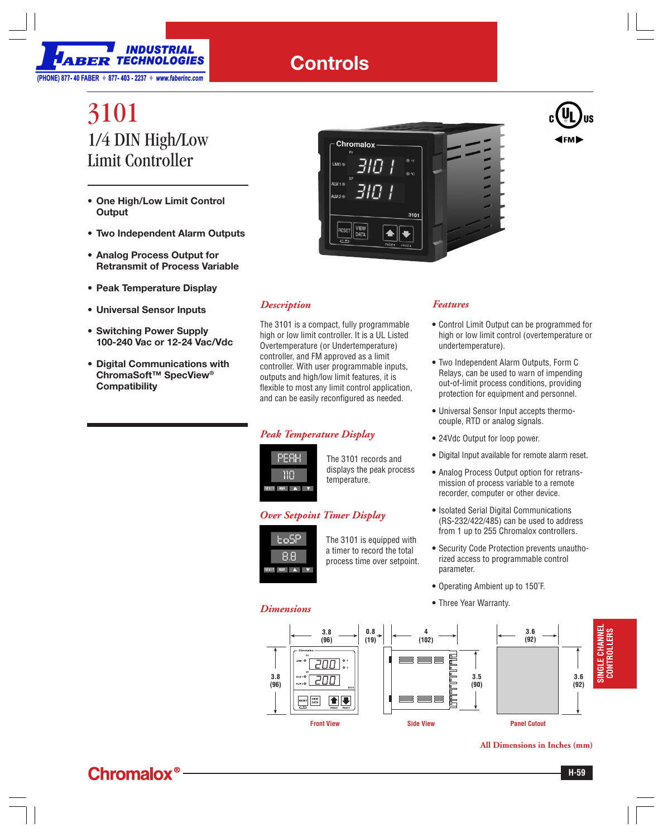

## **Controls**

# 3101 1/4 DIN High/Low Limit Controller

- **One High/Low Limit Control Output**
- **Two Independent Alarm Outputs**
- **Analog Process Output for Retransmit of Process Variable**
- **Peak Temperature Display**
- **Universal Sensor Inputs**
- **Switching Power Supply 100-240 Vac or 12-24 Vac/Vdc**
- **Digital Communications with ChromaSoft™ SpecView® Compatibility**



### *Description*

The 3101 is a compact, fully programmable high or low limit controller. It is a UL Listed Overtemperature (or Undertemperature) controller, and FM approved as a limit controller. With user programmable inputs, outputs and high/low limit features, it is flexible to most any limit control application, and can be easily reconfigured as needed.

## *Peak Temperature Display*



The 3101 records and displays the peak process temperature.

## *Over Setpoint Timer Display*



The 3101 is equipped with a timer to record the total process time over setpoint.

*Features*

- **•** Control Limit Output can be programmed for high or low limit control (overtemperature or undertemperature).
- **•** Two Independent Alarm Outputs, Form C Relays, can be used to warn of impending out-of-limit process conditions, providing protection for equipment and personnel.
- **•** Universal Sensor Input accepts thermocouple, RTD or analog signals.
- **•** 24Vdc Output for loop power.
- **•** Digital Input available for remote alarm reset.
- **•** Analog Process Output option for retransmission of process variable to a remote recorder, computer or other device.
- **•** Isolated Serial Digital Communications (RS-232/422/485) can be used to address from 1 up to 255 Chromalox controllers.
- **•** Security Code Protection prevents unauthorized access to programmable control parameter.
- **•** Operating Ambient up to 150˚F.
- **•** Three Year Warranty. *Dimensions*



**All Dimensions in Inches (mm)**



**PRODUCTS**

**CONTROLLERS**

CONTROLLERS

CONTROLLERS